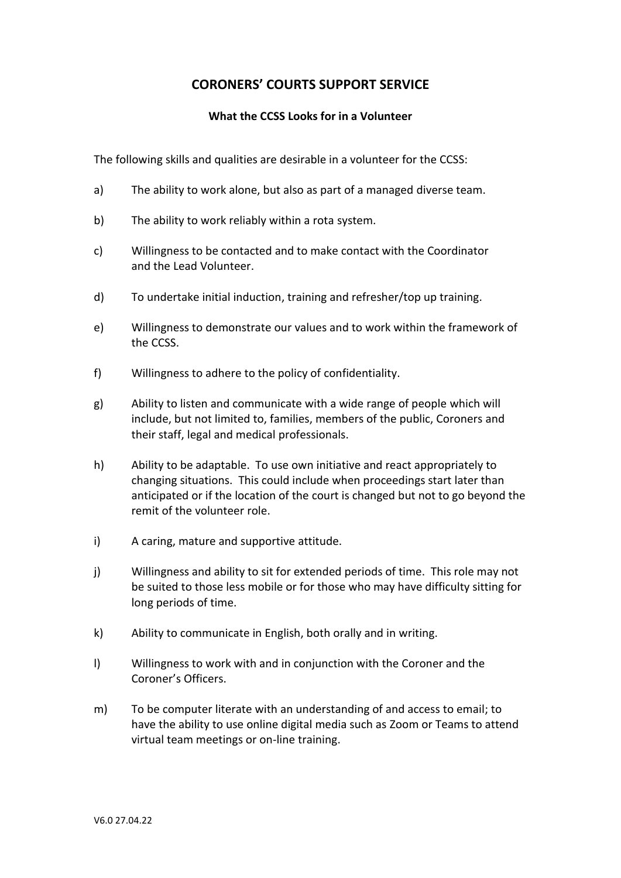# **CORONERS' COURTS SUPPORT SERVICE**

#### **What the CCSS Looks for in a Volunteer**

The following skills and qualities are desirable in a volunteer for the CCSS:

- a) The ability to work alone, but also as part of a managed diverse team.
- b) The ability to work reliably within a rota system.
- c) Willingness to be contacted and to make contact with the Coordinator and the Lead Volunteer.
- d) To undertake initial induction, training and refresher/top up training.
- e) Willingness to demonstrate our values and to work within the framework of the CCSS.
- f) Willingness to adhere to the policy of confidentiality.
- g) Ability to listen and communicate with a wide range of people which will include, but not limited to, families, members of the public, Coroners and their staff, legal and medical professionals.
- h) Ability to be adaptable. To use own initiative and react appropriately to changing situations. This could include when proceedings start later than anticipated or if the location of the court is changed but not to go beyond the remit of the volunteer role.
- i) A caring, mature and supportive attitude.
- j) Willingness and ability to sit for extended periods of time. This role may not be suited to those less mobile or for those who may have difficulty sitting for long periods of time.
- k) Ability to communicate in English, both orally and in writing.
- l) Willingness to work with and in conjunction with the Coroner and the Coroner's Officers.
- m) To be computer literate with an understanding of and access to email; to have the ability to use online digital media such as Zoom or Teams to attend virtual team meetings or on-line training.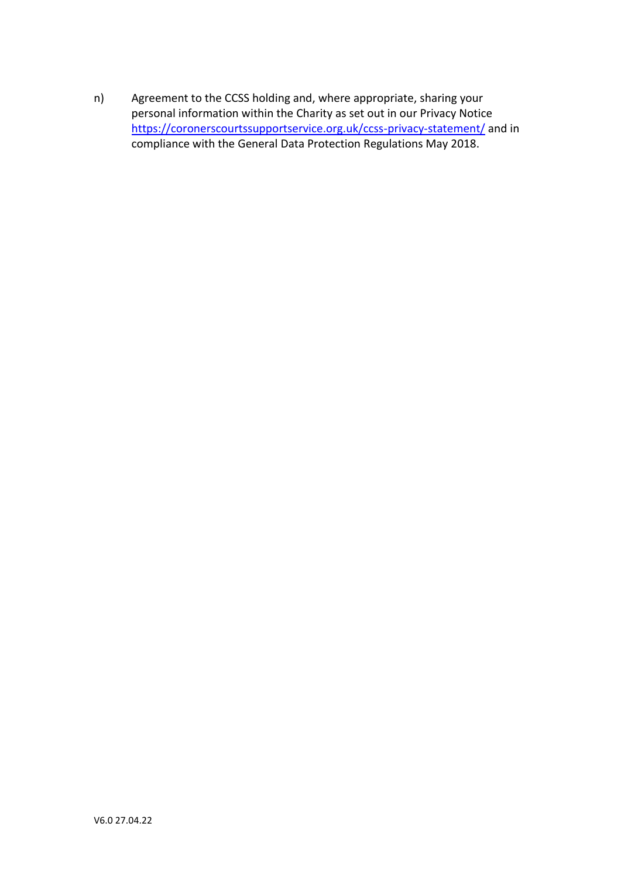n) Agreement to the CCSS holding and, where appropriate, sharing your personal information within the Charity as set out in our Privacy Notice <https://coronerscourtssupportservice.org.uk/ccss-privacy-statement/> and in compliance with the General Data Protection Regulations May 2018.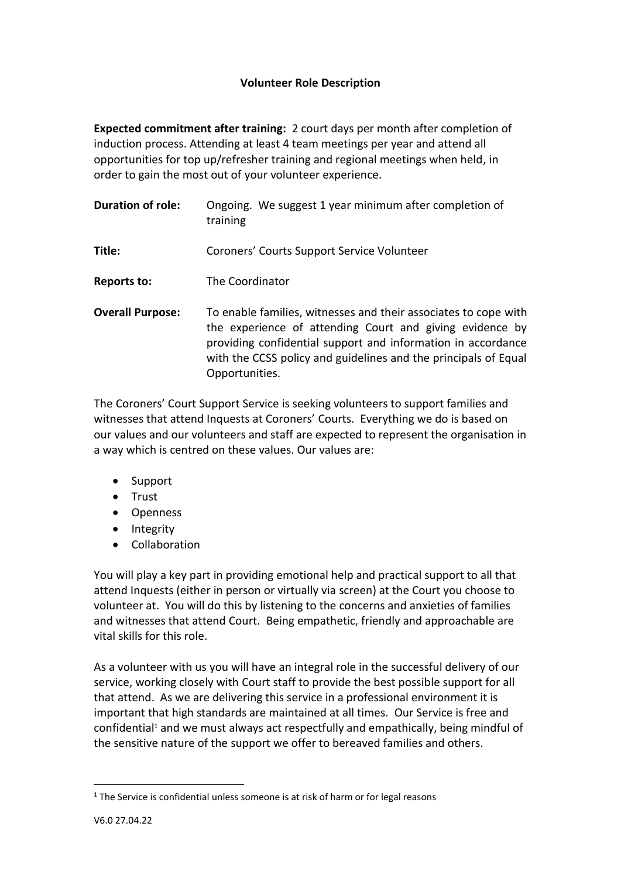## **Volunteer Role Description**

**Expected commitment after training:** 2 court days per month after completion of induction process. Attending at least 4 team meetings per year and attend all opportunities for top up/refresher training and regional meetings when held, in order to gain the most out of your volunteer experience.

| <b>Duration of role:</b> | Ongoing. We suggest 1 year minimum after completion of<br>training                                                                                                                                                                                                               |
|--------------------------|----------------------------------------------------------------------------------------------------------------------------------------------------------------------------------------------------------------------------------------------------------------------------------|
| Title:                   | Coroners' Courts Support Service Volunteer                                                                                                                                                                                                                                       |
| Reports to:              | The Coordinator                                                                                                                                                                                                                                                                  |
| <b>Overall Purpose:</b>  | To enable families, witnesses and their associates to cope with<br>the experience of attending Court and giving evidence by<br>providing confidential support and information in accordance<br>with the CCSS policy and guidelines and the principals of Equal<br>Opportunities. |

The Coroners' Court Support Service is seeking volunteers to support families and witnesses that attend Inquests at Coroners' Courts. Everything we do is based on our values and our volunteers and staff are expected to represent the organisation in a way which is centred on these values. Our values are:

- Support
- Trust
- Openness
- Integrity
- Collaboration

You will play a key part in providing emotional help and practical support to all that attend Inquests (either in person or virtually via screen) at the Court you choose to volunteer at. You will do this by listening to the concerns and anxieties of families and witnesses that attend Court. Being empathetic, friendly and approachable are vital skills for this role.

As a volunteer with us you will have an integral role in the successful delivery of our service, working closely with Court staff to provide the best possible support for all that attend. As we are delivering this service in a professional environment it is important that high standards are maintained at all times. Our Service is free and confidential<sup>1</sup> and we must always act respectfully and empathically, being mindful of the sensitive nature of the support we offer to bereaved families and others.

<sup>&</sup>lt;sup>1</sup> The Service is confidential unless someone is at risk of harm or for legal reasons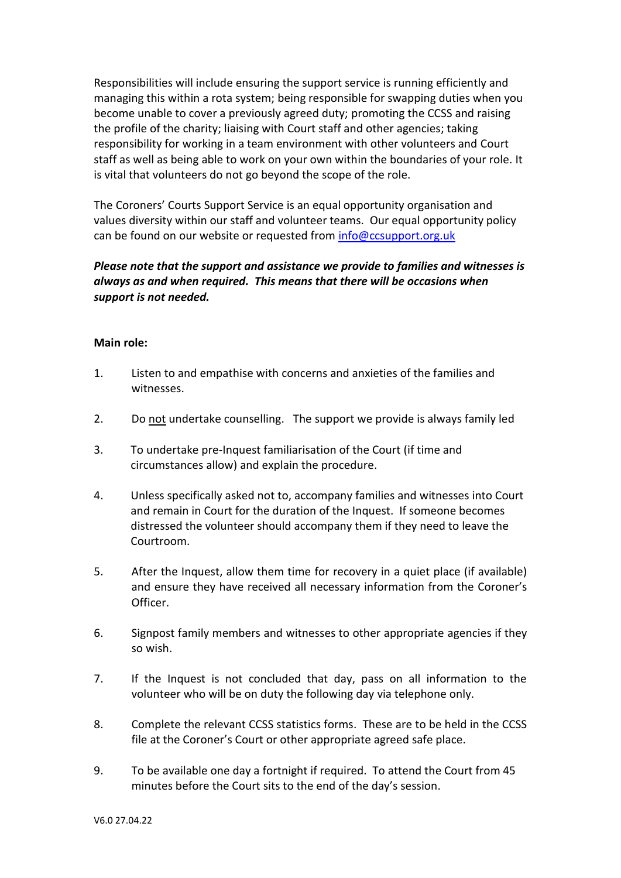Responsibilities will include ensuring the support service is running efficiently and managing this within a rota system; being responsible for swapping duties when you become unable to cover a previously agreed duty; promoting the CCSS and raising the profile of the charity; liaising with Court staff and other agencies; taking responsibility for working in a team environment with other volunteers and Court staff as well as being able to work on your own within the boundaries of your role. It is vital that volunteers do not go beyond the scope of the role.

The Coroners' Courts Support Service is an equal opportunity organisation and values diversity within our staff and volunteer teams. Our equal opportunity policy can be found on our website or requested from [info@ccsupport.org.uk](mailto:info@ccsupport.org.uk)

## *Please note that the support and assistance we provide to families and witnesses is always as and when required. This means that there will be occasions when support is not needed.*

#### **Main role:**

- 1. Listen to and empathise with concerns and anxieties of the families and witnesses.
- 2. Do not undertake counselling. The support we provide is always family led
- 3. To undertake pre-Inquest familiarisation of the Court (if time and circumstances allow) and explain the procedure.
- 4. Unless specifically asked not to, accompany families and witnesses into Court and remain in Court for the duration of the Inquest. If someone becomes distressed the volunteer should accompany them if they need to leave the Courtroom.
- 5. After the Inquest, allow them time for recovery in a quiet place (if available) and ensure they have received all necessary information from the Coroner's Officer.
- 6. Signpost family members and witnesses to other appropriate agencies if they so wish.
- 7. If the Inquest is not concluded that day, pass on all information to the volunteer who will be on duty the following day via telephone only.
- 8. Complete the relevant CCSS statistics forms. These are to be held in the CCSS file at the Coroner's Court or other appropriate agreed safe place.
- 9. To be available one day a fortnight if required. To attend the Court from 45 minutes before the Court sits to the end of the day's session.